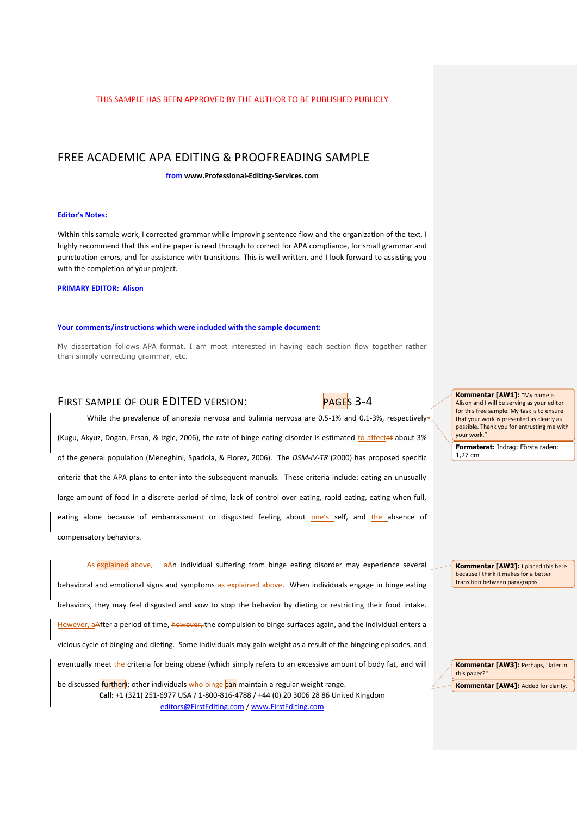# FREE ACADEMIC APA EDITING & PROOFREADING SAMPLE

**from www.Professional-Editing-Services.com**

#### **Editor's Notes:**

Within this sample work, I corrected grammar while improving sentence flow and the organization of the text. I highly recommend that this entire paper is read through to correct for APA compliance, for small grammar and punctuation errors, and for assistance with transitions. This is well written, and I look forward to assisting you with the completion of your project.

**PRIMARY EDITOR: Alison**

#### **Your comments/instructions which were included with the sample document:**

My dissertation follows APA format. I am most interested in having each section flow together rather than simply correcting grammar, etc.

# FIRST SAMPLE OF OUR EDITED VERSION: PAGES 3-4

While the prevalence of anorexia nervosa and bulimia nervosa are 0.5-1% and 0.1-3%, respectively

(Kugu, Akyuz, Dogan, Ersan, & Izgic, 2006), the rate of binge eating disorder is estimated to affectat about 3% of the general population (Meneghini, Spadola, & Florez, 2006). The *DSM-IV-TR* (2000) has proposed specific criteria that the APA plans to enter into the subsequent manuals. These criteria include: eating an unusually large amount of food in a discrete period of time, lack of control over eating, rapid eating, eating when full, eating alone because of embarrassment or disgusted feeling about one's self, and the absence of compensatory behaviors.

**Call:** +1 (321) 251-6977 USA / 1-800-816-4788 / +44 (0) 20 3006 28 86 United Kingdom As explained above,  $-a^{An}$  individual suffering from binge eating disorder may experience several behavioral and emotional signs and symptoms-as explained above. When individuals engage in binge eating behaviors, they may feel disgusted and vow to stop the behavior by dieting or restricting their food intake. However, a<sub>After</sub> a period of time, however, the compulsion to binge surfaces again, and the individual enters a vicious cycle of binging and dieting. Some individuals may gain weight as a result of the bingeing episodes, and eventually meet the criteria for being obese (which simply refers to an excessive amount of body fat, and will be discussed *further*); other individuals who binge can maintain a regular weight range.

editors@FirstEditing.com / www.FirstEditing.com

**Kommentar [AW1]:** "My name is Alison and I will be serving as your editor for this free sample. My task is to ensure that your work is presented as clearly as possible. Thank you for entrusting me with your work."

**Formaterat:** Indrag: Första raden: 1,27 cm

**Kommentar [AW2]:** I placed this here because I think it makes for a better transition between paragraphs.

**Kommentar [AW3]:** Perhaps, "later in this paper?" **Kommentar [AW4]: Added for clarity.**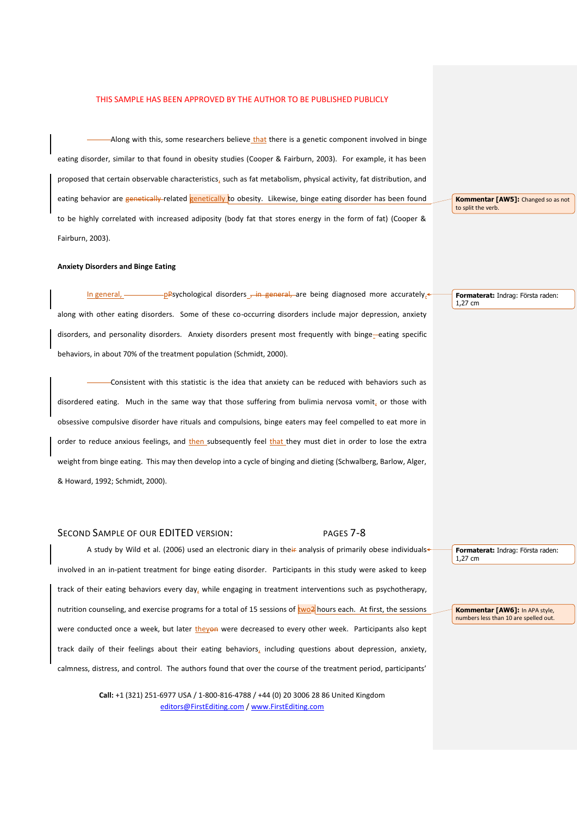-Along with this, some researchers believe that there is a genetic component involved in binge eating disorder, similar to that found in obesity studies (Cooper & Fairburn, 2003). For example, it has been proposed that certain observable characteristics, such as fat metabolism, physical activity, fat distribution, and eating behavior are genetically-related genetically to obesity. Likewise, binge eating disorder has been found to be highly correlated with increased adiposity (body fat that stores energy in the form of fat) (Cooper & Fairburn, 2003).

#### **Anxiety Disorders and Binge Eating**

In general, pppsychological disorders  $\frac{1}{2}$  in general, are being diagnosed more accurately, along with other eating disorders. Some of these co-occurring disorders include major depression, anxiety disorders, and personality disorders. Anxiety disorders present most frequently with binge-eating specific behaviors, in about 70% of the treatment population (Schmidt, 2000).

Consistent with this statistic is the idea that anxiety can be reduced with behaviors such as disordered eating. Much in the same way that those suffering from bulimia nervosa vomit, or those with obsessive compulsive disorder have rituals and compulsions, binge eaters may feel compelled to eat more in order to reduce anxious feelings, and then subsequently feel that they must diet in order to lose the extra weight from binge eating. This may then develop into a cycle of binging and dieting (Schwalberg, Barlow, Alger, & Howard, 1992; Schmidt, 2000).

# SECOND SAMPLE OF OUR EDITED VERSION: PAGES 7-8

A study by Wild et al. (2006) used an electronic diary in their analysis of primarily obese individuals involved in an in-patient treatment for binge eating disorder. Participants in this study were asked to keep track of their eating behaviors every day, while engaging in treatment interventions such as psychotherapy, nutrition counseling, and exercise programs for a total of 15 sessions of two<sup>2</sup> hours each. At first, the sessions were conducted once a week, but later theyon were decreased to every other week. Participants also kept track daily of their feelings about their eating behaviors, including questions about depression, anxiety, calmness, distress, and control. The authors found that over the course of the treatment period, participants'

> **Call:** +1 (321) 251-6977 USA / 1-800-816-4788 / +44 (0) 20 3006 28 86 United Kingdom editors@FirstEditing.com / www.FirstEditing.com

**Kommentar [AW5]:** Changed so as not to split the verb.

**Formaterat:** Indrag: Första raden: 1,27 cm

**Formaterat:** Indrag: Första raden: 1,27 cm

**Kommentar [AW6]:** In APA style, numbers less than 10 are spelled out.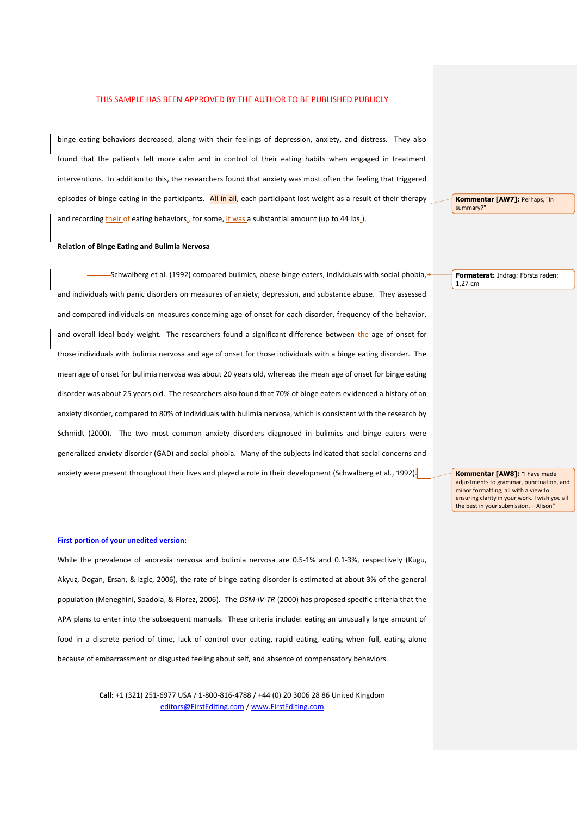binge eating behaviors decreased, along with their feelings of depression, anxiety, and distress. They also found that the patients felt more calm and in control of their eating habits when engaged in treatment interventions. In addition to this, the researchers found that anxiety was most often the feeling that triggered episodes of binge eating in the participants. All in all, each participant lost weight as a result of their therapy and recording their  $\theta$  f-eating behaviors; for some, it was a substantial amount (up to 44 lbs.).

#### **Relation of Binge Eating and Bulimia Nervosa**

-Schwalberg et al. (1992) compared bulimics, obese binge eaters, individuals with social phobia, and individuals with panic disorders on measures of anxiety, depression, and substance abuse. They assessed and compared individuals on measures concerning age of onset for each disorder, frequency of the behavior, and overall ideal body weight. The researchers found a significant difference between the age of onset for those individuals with bulimia nervosa and age of onset for those individuals with a binge eating disorder. The mean age of onset for bulimia nervosa was about 20 years old, whereas the mean age of onset for binge eating disorder was about 25 years old. The researchers also found that 70% of binge eaters evidenced a history of an anxiety disorder, compared to 80% of individuals with bulimia nervosa, which is consistent with the research by Schmidt (2000). The two most common anxiety disorders diagnosed in bulimics and binge eaters were generalized anxiety disorder (GAD) and social phobia. Many of the subjects indicated that social concerns and anxiety were present throughout their lives and played a role in their development (Schwalberg et al., 1992).

#### **First portion of your unedited version:**

While the prevalence of anorexia nervosa and bulimia nervosa are 0.5-1% and 0.1-3%, respectively (Kugu, Akyuz, Dogan, Ersan, & Izgic, 2006), the rate of binge eating disorder is estimated at about 3% of the general population (Meneghini, Spadola, & Florez, 2006). The *DSM-IV-TR* (2000) has proposed specific criteria that the APA plans to enter into the subsequent manuals. These criteria include: eating an unusually large amount of food in a discrete period of time, lack of control over eating, rapid eating, eating when full, eating alone because of embarrassment or disgusted feeling about self, and absence of compensatory behaviors.

> **Call:** +1 (321) 251-6977 USA / 1-800-816-4788 / +44 (0) 20 3006 28 86 United Kingdom editors@FirstEditing.com / www.FirstEditing.com

**Kommentar [AW7]: Perhaps, "In** summary?"

**Formaterat:** Indrag: Första raden: 1,27 cm

**Kommentar [AW8]:** "I have made adjustments to grammar, punctuation, and minor formatting, all with a view to ensuring clarity in your work. I wish you all the best in your submission. – Alison"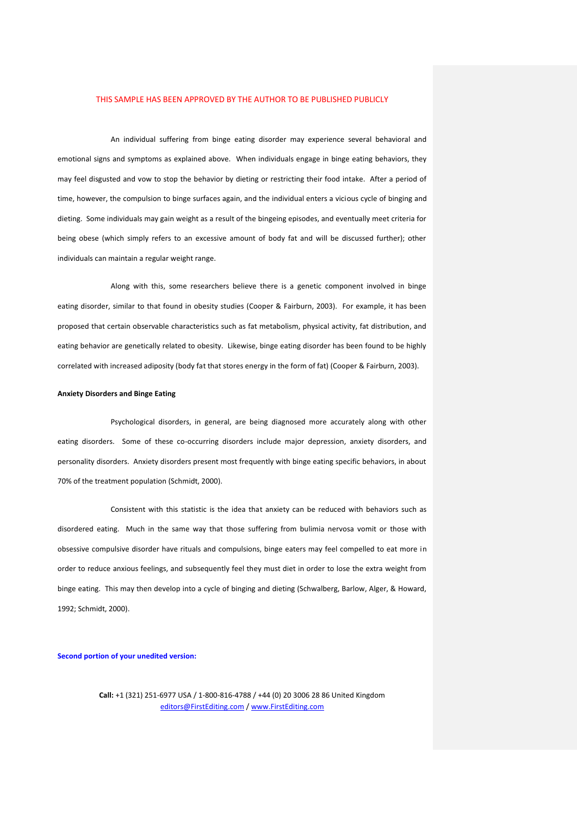An individual suffering from binge eating disorder may experience several behavioral and emotional signs and symptoms as explained above. When individuals engage in binge eating behaviors, they may feel disgusted and vow to stop the behavior by dieting or restricting their food intake. After a period of time, however, the compulsion to binge surfaces again, and the individual enters a vicious cycle of binging and dieting. Some individuals may gain weight as a result of the bingeing episodes, and eventually meet criteria for being obese (which simply refers to an excessive amount of body fat and will be discussed further); other individuals can maintain a regular weight range.

Along with this, some researchers believe there is a genetic component involved in binge eating disorder, similar to that found in obesity studies (Cooper & Fairburn, 2003). For example, it has been proposed that certain observable characteristics such as fat metabolism, physical activity, fat distribution, and eating behavior are genetically related to obesity. Likewise, binge eating disorder has been found to be highly correlated with increased adiposity (body fat that stores energy in the form of fat) (Cooper & Fairburn, 2003).

#### **Anxiety Disorders and Binge Eating**

Psychological disorders, in general, are being diagnosed more accurately along with other eating disorders. Some of these co-occurring disorders include major depression, anxiety disorders, and personality disorders. Anxiety disorders present most frequently with binge eating specific behaviors, in about 70% of the treatment population (Schmidt, 2000).

Consistent with this statistic is the idea that anxiety can be reduced with behaviors such as disordered eating. Much in the same way that those suffering from bulimia nervosa vomit or those with obsessive compulsive disorder have rituals and compulsions, binge eaters may feel compelled to eat more in order to reduce anxious feelings, and subsequently feel they must diet in order to lose the extra weight from binge eating. This may then develop into a cycle of binging and dieting (Schwalberg, Barlow, Alger, & Howard, 1992; Schmidt, 2000).

#### **Second portion of your unedited version:**

**Call:** +1 (321) 251-6977 USA / 1-800-816-4788 / +44 (0) 20 3006 28 86 United Kingdom editors@FirstEditing.com / www.FirstEditing.com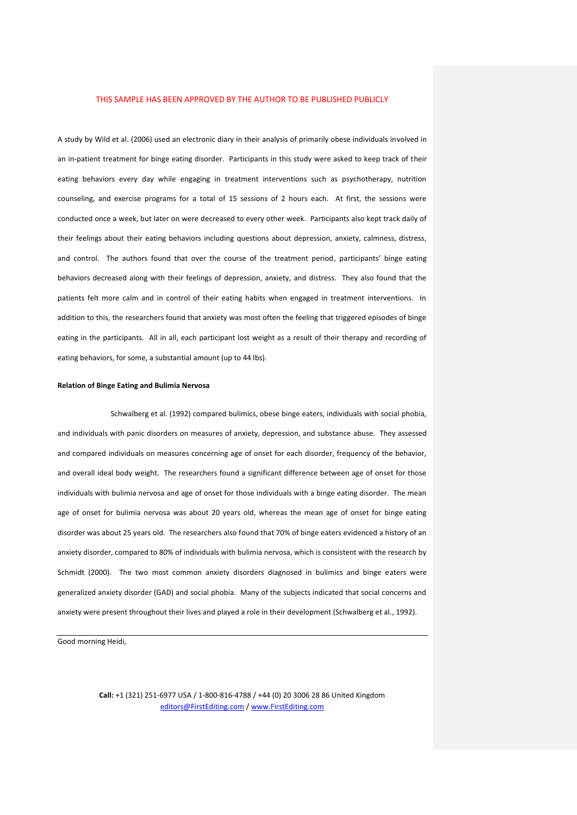A study by Wild et al. (2006) used an electronic diary in their analysis of primarily obese individuals involved in an in-patient treatment for binge eating disorder. Participants in this study were asked to keep track of their eating behaviors every day while engaging in treatment interventions such as psychotherapy, nutrition counseling, and exercise programs for a total of 15 sessions of 2 hours each. At first, the sessions were conducted once a week, but later on were decreased to every other week. Participants also kept track daily of their feelings about their eating behaviors including questions about depression, anxiety, calmness, distress, and control. The authors found that over the course of the treatment period, participants' binge eating behaviors decreased along with their feelings of depression, anxiety, and distress. They also found that the patients felt more calm and in control of their eating habits when engaged in treatment interventions. In addition to this, the researchers found that anxiety was most often the feeling that triggered episodes of binge eating in the participants. All in all, each participant lost weight as a result of their therapy and recording of eating behaviors, for some, a substantial amount (up to 44 lbs).

#### **Relation of Binge Eating and Bulimia Nervosa**

Schwalberg et al. (1992) compared bulimics, obese binge eaters, individuals with social phobia, and individuals with panic disorders on measures of anxiety, depression, and substance abuse. They assessed and compared individuals on measures concerning age of onset for each disorder, frequency of the behavior, and overall ideal body weight. The researchers found a significant difference between age of onset for those individuals with bulimia nervosa and age of onset for those individuals with a binge eating disorder. The mean age of onset for bulimia nervosa was about 20 years old, whereas the mean age of onset for binge eating disorder was about 25 years old. The researchers also found that 70% of binge eaters evidenced a history of an anxiety disorder, compared to 80% of individuals with bulimia nervosa, which is consistent with the research by Schmidt (2000). The two most common anxiety disorders diagnosed in bulimics and binge eaters were generalized anxiety disorder (GAD) and social phobia. Many of the subjects indicated that social concerns and anxiety were present throughout their lives and played a role in their development (Schwalberg et al., 1992).

Good morning Heidi,

**Call:** +1 (321) 251-6977 USA / 1-800-816-4788 / +44 (0) 20 3006 28 86 United Kingdom editors@FirstEditing.com / www.FirstEditing.com